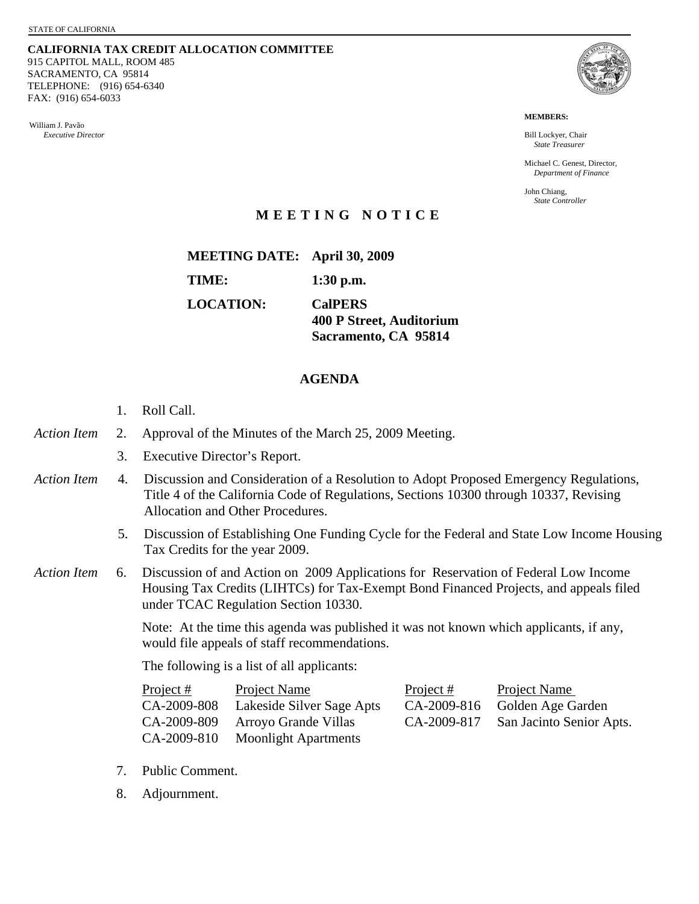**CALIFORNIA TAX CREDIT ALLOCATION COMMITTEE** 915 CAPITOL MALL, ROOM 485 SACRAMENTO, CA 95814 TELEPHONE: (916) 654-6340 FAX: (916) 654-6033

William J. Pavão *Executive Director* 



**MEMBERS:** 

Bill Lockyer, Chair *State Treasurer* 

Michael C. Genest, Director, *Department of Finance* 

John Chiang, *State Controller* 

## **MEETING NOTICE**

**MEETING DATE: April 30, 2009 TIME: 1:30 p.m. LOCATION: CalPERS 400 P Street, Auditorium** 

## **AGENDA**

- 1. Roll Call.
- *Action Item* 2. Approval of the Minutes of the March 25, 2009 Meeting.
	- 3. Executive Director's Report.
- *Action Item* 4. Discussion and Consideration of a Resolution to Adopt Proposed Emergency Regulations, Title 4 of the California Code of Regulations, Sections 10300 through 10337, Revising Allocation and Other Procedures.
	- 5. Discussion of Establishing One Funding Cycle for the Federal and State Low Income Housing Tax Credits for the year 2009.

**Sacramento, CA 95814** 

*Action Item* 6. Discussion of and Action on 2009 Applications for Reservation of Federal Low Income Housing Tax Credits (LIHTCs) for Tax-Exempt Bond Financed Projects, and appeals filed under TCAC Regulation Section 10330.

> Note: At the time this agenda was published it was not known which applicants, if any, would file appeals of staff recommendations.

The following is a list of all applicants:

| Project $#$ | <b>Project Name</b>              | Project $#$ | <b>Project Name</b>                  |
|-------------|----------------------------------|-------------|--------------------------------------|
| CA-2009-808 | Lakeside Silver Sage Apts        |             | CA-2009-816 Golden Age Garden        |
|             | CA-2009-809 Arroyo Grande Villas |             | CA-2009-817 San Jacinto Senior Apts. |
|             | CA-2009-810 Moonlight Apartments |             |                                      |

- 7. Public Comment.
- 8. Adjournment.